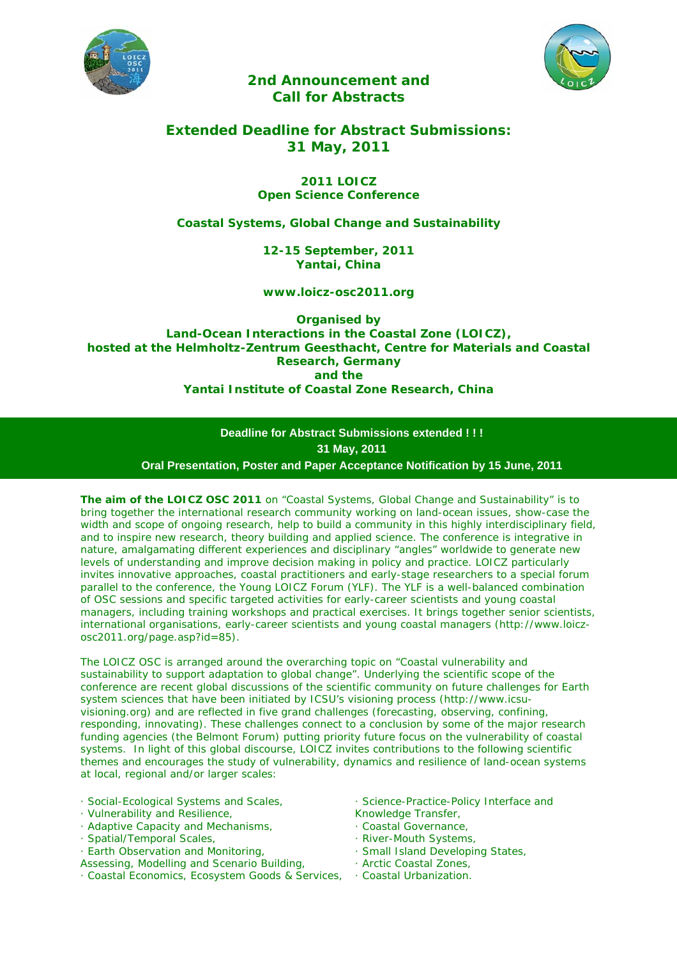



# *2nd Announcement and Call for Abstracts*

# *Extended Deadline for Abstract Submissions: 31 May, 2011*

## *2011 LOICZ Open Science Conference*

## *Coastal Systems, Global Change and Sustainability*

*12-15 September, 2011 Yantai, China* 

*www.loicz-osc2011.org* 

*Organised by Land-Ocean Interactions in the Coastal Zone (LOICZ), hosted at the Helmholtz-Zentrum Geesthacht, Centre for Materials and Coastal Research, Germany and the Yantai Institute of Coastal Zone Research, China* 

> **Deadline for Abstract Submissions extended ! ! ! 31 May, 2011 Oral Presentation, Poster and Paper Acceptance Notification by 15 June, 2011**

The aim of the LOICZ OSC 2011 on "Coastal Systems, Global Change and Sustainability" is to bring together the international research community working on land-ocean issues, show-case the width and scope of ongoing research, help to build a community in this highly interdisciplinary field, and to inspire new research, theory building and applied science. The conference is integrative in nature, amalgamating different experiences and disciplinary "angles" worldwide to generate new levels of understanding and improve decision making in policy and practice. LOICZ particularly invites innovative approaches, coastal practitioners and early-stage researchers to a special forum parallel to the conference, the Young LOICZ Forum (YLF). The YLF is a well-balanced combination of OSC sessions and specific targeted activities for early-career scientists and young coastal managers, including training workshops and practical exercises. It brings together senior scientists, international organisations, early-career scientists and young coastal managers (http://www.loiczosc2011.org/page.asp?id=85).

The LOICZ OSC is arranged around the overarching topic on "Coastal vulnerability and sustainability to support adaptation to global change". Underlying the scientific scope of the conference are recent global discussions of the scientific community on future challenges for Earth system sciences that have been initiated by ICSU's visioning process (http://www.icsuvisioning.org) and are reflected in five grand challenges (forecasting, observing, confining, responding, innovating). These challenges connect to a conclusion by some of the major research funding agencies (the Belmont Forum) putting priority future focus on the vulnerability of coastal systems. In light of this global discourse, LOICZ invites contributions to the following scientific themes and encourages the study of vulnerability, dynamics and resilience of land-ocean systems at local, regional and/or larger scales:

- · Social-Ecological Systems and Scales,
- · Vulnerability and Resilience,
- · Adaptive Capacity and Mechanisms,
- · Spatial/Temporal Scales,
- · Earth Observation and Monitoring,
- Assessing, Modelling and Scenario Building,
- · Coastal Economics, Ecosystem Goods & Services,
- · Science-Practice-Policy Interface and
- Knowledge Transfer,
- · Coastal Governance,
- · River-Mouth Systems,
- · Small Island Developing States,
- · Arctic Coastal Zones,
- · Coastal Urbanization.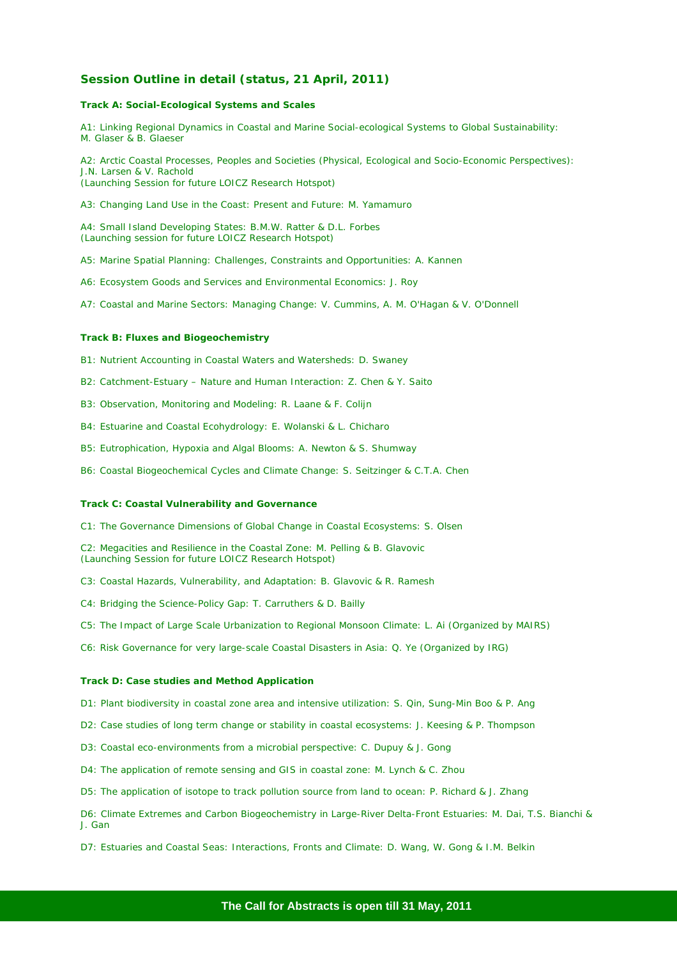## **Session Outline in detail (status, 21 April, 2011)**

#### *Track A: Social-Ecological Systems and Scales*

A1: Linking Regional Dynamics in Coastal and Marine Social-ecological Systems to Global Sustainability: M. Glaser & B. Glaeser

A2: Arctic Coastal Processes, Peoples and Societies (Physical, Ecological and Socio-Economic Perspectives): J.N. Larsen & V. Rachold (Launching Session for future LOICZ Research Hotspot)

A3: Changing Land Use in the Coast: Present and Future: M. Yamamuro

A4: Small Island Developing States: B.M.W. Ratter & D.L. Forbes (Launching session for future LOICZ Research Hotspot)

A5: Marine Spatial Planning: Challenges, Constraints and Opportunities: A. Kannen

A6: Ecosystem Goods and Services and Environmental Economics: J. Roy

A7: Coastal and Marine Sectors: Managing Change: V. Cummins, A. M. O'Hagan & V. O'Donnell

#### *Track B: Fluxes and Biogeochemistry*

B1: Nutrient Accounting in Coastal Waters and Watersheds: D. Swaney

B2: Catchment-Estuary – Nature and Human Interaction: Z. Chen & Y. Saito

B3: Observation, Monitoring and Modeling: R. Laane & F. Colijn

B4: Estuarine and Coastal Ecohydrology: E. Wolanski & L. Chicharo

B5: Eutrophication, Hypoxia and Algal Blooms: A. Newton & S. Shumway

B6: Coastal Biogeochemical Cycles and Climate Change: S. Seitzinger & C.T.A. Chen

#### *Track C: Coastal Vulnerability and Governance*

C1: The Governance Dimensions of Global Change in Coastal Ecosystems: S. Olsen

C2: Megacities and Resilience in the Coastal Zone: M. Pelling & B. Glavovic (Launching Session for future LOICZ Research Hotspot)

C3: Coastal Hazards, Vulnerability, and Adaptation: B. Glavovic & R. Ramesh

C4: Bridging the Science-Policy Gap: T. Carruthers & D. Bailly

C5: The Impact of Large Scale Urbanization to Regional Monsoon Climate: L. Ai (Organized by MAIRS)

C6: Risk Governance for very large-scale Coastal Disasters in Asia: Q. Ye (Organized by IRG)

#### *Track D: Case studies and Method Application*

D1: Plant biodiversity in coastal zone area and intensive utilization: S. Qin, Sung-Min Boo & P. Ang

D2: Case studies of long term change or stability in coastal ecosystems: J. Keesing & P. Thompson

D3: Coastal eco-environments from a microbial perspective: C. Dupuy & J. Gong

D4: The application of remote sensing and GIS in coastal zone: M. Lynch & C. Zhou

D5: The application of isotope to track pollution source from land to ocean: P. Richard & J. Zhang

D6: Climate Extremes and Carbon Biogeochemistry in Large-River Delta-Front Estuaries: M. Dai, T.S. Bianchi & J. Gan

D7: Estuaries and Coastal Seas: Interactions, Fronts and Climate: D. Wang, W. Gong & I.M. Belkin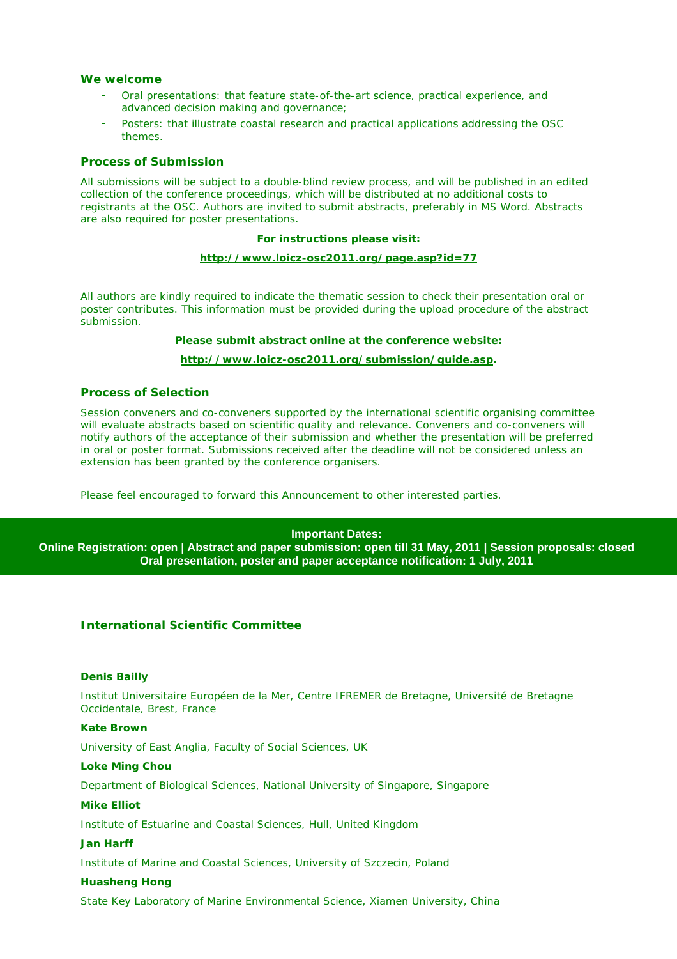## **We welcome**

- Oral presentations: that feature state-of-the-art science, practical experience, and advanced decision making and governance;
- Posters: that illustrate coastal research and practical applications addressing the OSC themes.

## **Process of Submission**

All submissions will be subject to a double-blind review process, and will be published in an edited collection of the conference proceedings, which will be distributed at no additional costs to registrants at the OSC. Authors are invited to submit abstracts, preferably in MS Word. Abstracts are also required for poster presentations.

#### **For instructions please visit:**

#### **http://www.loicz-osc2011.org/page.asp?id=77**

All authors are kindly required to indicate the thematic session to check their presentation oral or poster contributes. This information must be provided during the upload procedure of the abstract submission.

### **Please submit abstract online at the conference website:**

#### **http://www.loicz-osc2011.org/submission/guide.asp.**

## **Process of Selection**

Session conveners and co-conveners supported by the international scientific organising committee will evaluate abstracts based on scientific quality and relevance. Conveners and co-conveners will notify authors of the acceptance of their submission and whether the presentation will be preferred in oral or poster format. Submissions received after the deadline will not be considered unless an extension has been granted by the conference organisers.

Please feel encouraged to forward this Announcement to other interested parties.

#### **Important Dates:**

**Online Registration: open | Abstract and paper submission: open till 31 May, 2011 | Session proposals: closed Oral presentation, poster and paper acceptance notification: 1 July, 2011** 

## **International Scientific Committee**

#### **Denis Bailly**

Institut Universitaire Européen de la Mer, Centre IFREMER de Bretagne, Université de Bretagne Occidentale, Brest, France

#### **Kate Brown**

University of East Anglia, Faculty of Social Sciences, UK

#### **Loke Ming Chou**

Department of Biological Sciences, National University of Singapore, Singapore

#### **Mike Elliot**

Institute of Estuarine and Coastal Sciences, Hull, United Kingdom

#### **Jan Harff**

Institute of Marine and Coastal Sciences, University of Szczecin, Poland

#### **Huasheng Hong**

State Key Laboratory of Marine Environmental Science, Xiamen University, China